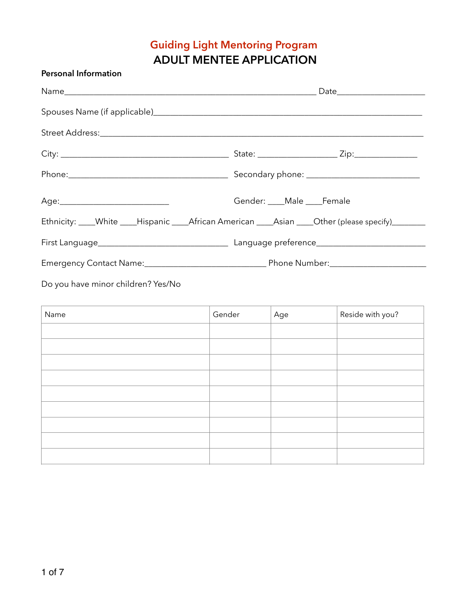# **Guiding Light Mentoring Program ADULT MENTEE APPLICATION**

| <b>Personal Information</b>                                                                         |                     |     |                  |  |  |
|-----------------------------------------------------------------------------------------------------|---------------------|-----|------------------|--|--|
|                                                                                                     |                     |     |                  |  |  |
|                                                                                                     |                     |     |                  |  |  |
|                                                                                                     |                     |     |                  |  |  |
|                                                                                                     |                     |     |                  |  |  |
|                                                                                                     |                     |     |                  |  |  |
|                                                                                                     | Gender: Male Female |     |                  |  |  |
| Ethnicity: ____White ____Hispanic ____African American ____Asian ____Other (please specify)________ |                     |     |                  |  |  |
|                                                                                                     |                     |     |                  |  |  |
|                                                                                                     |                     |     |                  |  |  |
| Do you have minor children? Yes/No                                                                  |                     |     |                  |  |  |
| Name                                                                                                | Gender              | Age | Reside with you? |  |  |
|                                                                                                     |                     |     |                  |  |  |
|                                                                                                     |                     |     |                  |  |  |
|                                                                                                     |                     |     |                  |  |  |
|                                                                                                     |                     |     |                  |  |  |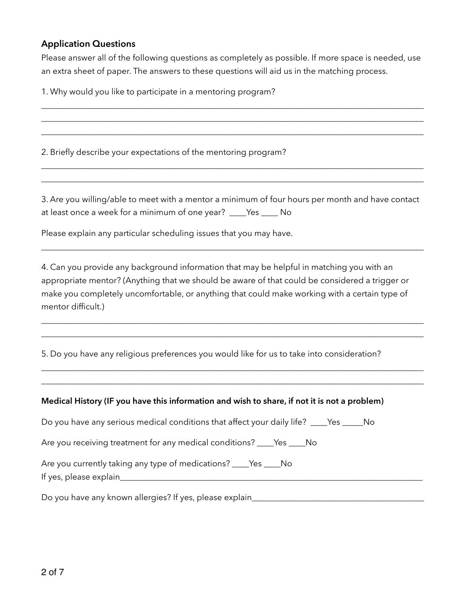### **Application Questions**

Please answer all of the following questions as completely as possible. If more space is needed, use an extra sheet of paper. The answers to these questions will aid us in the matching process.

\_\_\_\_\_\_\_\_\_\_\_\_\_\_\_\_\_\_\_\_\_\_\_\_\_\_\_\_\_\_\_\_\_\_\_\_\_\_\_\_\_\_\_\_\_\_\_\_\_\_\_\_\_\_\_\_\_\_\_\_\_\_\_\_\_\_\_\_\_\_\_\_\_\_\_\_\_\_\_\_\_\_\_\_\_\_\_\_\_\_\_ \_\_\_\_\_\_\_\_\_\_\_\_\_\_\_\_\_\_\_\_\_\_\_\_\_\_\_\_\_\_\_\_\_\_\_\_\_\_\_\_\_\_\_\_\_\_\_\_\_\_\_\_\_\_\_\_\_\_\_\_\_\_\_\_\_\_\_\_\_\_\_\_\_\_\_\_\_\_\_\_\_\_\_\_\_\_\_\_\_\_\_ \_\_\_\_\_\_\_\_\_\_\_\_\_\_\_\_\_\_\_\_\_\_\_\_\_\_\_\_\_\_\_\_\_\_\_\_\_\_\_\_\_\_\_\_\_\_\_\_\_\_\_\_\_\_\_\_\_\_\_\_\_\_\_\_\_\_\_\_\_\_\_\_\_\_\_\_\_\_\_\_\_\_\_\_\_\_\_\_\_\_\_

1. Why would you like to participate in a mentoring program?

2. Briefly describe your expectations of the mentoring program?

3. Are you willing/able to meet with a mentor a minimum of four hours per month and have contact at least once a week for a minimum of one year? \_\_\_\_Yes \_\_\_\_ No

\_\_\_\_\_\_\_\_\_\_\_\_\_\_\_\_\_\_\_\_\_\_\_\_\_\_\_\_\_\_\_\_\_\_\_\_\_\_\_\_\_\_\_\_\_\_\_\_\_\_\_\_\_\_\_\_\_\_\_\_\_\_\_\_\_\_\_\_\_\_\_\_\_\_\_\_\_\_\_\_\_\_\_\_\_\_\_\_\_\_\_

\_\_\_\_\_\_\_\_\_\_\_\_\_\_\_\_\_\_\_\_\_\_\_\_\_\_\_\_\_\_\_\_\_\_\_\_\_\_\_\_\_\_\_\_\_\_\_\_\_\_\_\_\_\_\_\_\_\_\_\_\_\_\_\_\_\_\_\_\_\_\_\_\_\_\_\_\_\_\_\_\_\_\_\_\_\_\_\_\_\_\_ \_\_\_\_\_\_\_\_\_\_\_\_\_\_\_\_\_\_\_\_\_\_\_\_\_\_\_\_\_\_\_\_\_\_\_\_\_\_\_\_\_\_\_\_\_\_\_\_\_\_\_\_\_\_\_\_\_\_\_\_\_\_\_\_\_\_\_\_\_\_\_\_\_\_\_\_\_\_\_\_\_\_\_\_\_\_\_\_\_\_\_

Please explain any particular scheduling issues that you may have.

4. Can you provide any background information that may be helpful in matching you with an appropriate mentor? (Anything that we should be aware of that could be considered a trigger or make you completely uncomfortable, or anything that could make working with a certain type of mentor difficult.)

\_\_\_\_\_\_\_\_\_\_\_\_\_\_\_\_\_\_\_\_\_\_\_\_\_\_\_\_\_\_\_\_\_\_\_\_\_\_\_\_\_\_\_\_\_\_\_\_\_\_\_\_\_\_\_\_\_\_\_\_\_\_\_\_\_\_\_\_\_\_\_\_\_\_\_\_\_\_\_\_\_\_\_\_\_\_\_\_\_\_\_ \_\_\_\_\_\_\_\_\_\_\_\_\_\_\_\_\_\_\_\_\_\_\_\_\_\_\_\_\_\_\_\_\_\_\_\_\_\_\_\_\_\_\_\_\_\_\_\_\_\_\_\_\_\_\_\_\_\_\_\_\_\_\_\_\_\_\_\_\_\_\_\_\_\_\_\_\_\_\_\_\_\_\_\_\_\_\_\_\_\_\_

\_\_\_\_\_\_\_\_\_\_\_\_\_\_\_\_\_\_\_\_\_\_\_\_\_\_\_\_\_\_\_\_\_\_\_\_\_\_\_\_\_\_\_\_\_\_\_\_\_\_\_\_\_\_\_\_\_\_\_\_\_\_\_\_\_\_\_\_\_\_\_\_\_\_\_\_\_\_\_\_\_\_\_\_\_\_\_\_\_\_\_ \_\_\_\_\_\_\_\_\_\_\_\_\_\_\_\_\_\_\_\_\_\_\_\_\_\_\_\_\_\_\_\_\_\_\_\_\_\_\_\_\_\_\_\_\_\_\_\_\_\_\_\_\_\_\_\_\_\_\_\_\_\_\_\_\_\_\_\_\_\_\_\_\_\_\_\_\_\_\_\_\_\_\_\_\_\_\_\_\_\_\_

5. Do you have any religious preferences you would like for us to take into consideration?

#### **Medical History (IF you have this information and wish to share, if not it is not a problem)**

Do you have any serious medical conditions that affect your daily life? \_\_\_\_Yes \_\_\_\_\_No

Are you receiving treatment for any medical conditions? \_\_\_\_Yes \_\_\_\_No

Are you currently taking any type of medications? \_\_\_\_Yes \_\_\_\_No If yes, please explain\_\_\_\_\_\_\_\_\_\_\_\_\_\_\_\_\_\_\_\_\_\_\_\_\_\_\_\_\_\_\_\_\_\_\_\_\_\_\_\_\_\_\_\_\_\_\_\_\_\_\_\_\_\_\_\_\_\_\_\_\_\_\_\_\_\_\_\_\_\_\_\_

Do you have any known allergies? If yes, please explain\_\_\_\_\_\_\_\_\_\_\_\_\_\_\_\_\_\_\_\_\_\_\_\_\_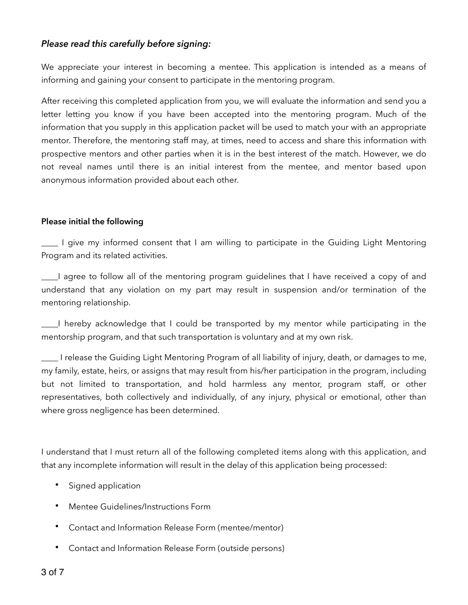### *Please read this carefully before signing:*

We appreciate your interest in becoming a mentee. This application is intended as a means of informing and gaining your consent to participate in the mentoring program.

After receiving this completed application from you, we will evaluate the information and send you a letter letting you know if you have been accepted into the mentoring program. Much of the information that you supply in this application packet will be used to match your with an appropriate mentor. Therefore, the mentoring staff may, at times, need to access and share this information with prospective mentors and other parties when it is in the best interest of the match. However, we do not reveal names until there is an initial interest from the mentee, and mentor based upon anonymous information provided about each other.

#### **Please initial the following**

\_\_\_\_ I give my informed consent that I am willing to participate in the Guiding Light Mentoring Program and its related activities.

\_\_\_\_I agree to follow all of the mentoring program guidelines that I have received a copy of and understand that any violation on my part may result in suspension and/or termination of the mentoring relationship.

\_\_\_\_I hereby acknowledge that I could be transported by my mentor while participating in the mentorship program, and that such transportation is voluntary and at my own risk.

\_\_\_\_ I release the Guiding Light Mentoring Program of all liability of injury, death, or damages to me, my family, estate, heirs, or assigns that may result from his/her participation in the program, including but not limited to transportation, and hold harmless any mentor, program staff, or other representatives, both collectively and individually, of any injury, physical or emotional, other than where gross negligence has been determined.

I understand that I must return all of the following completed items along with this application, and that any incomplete information will result in the delay of this application being processed:

- Signed application
- Mentee Guidelines/Instructions Form
- Contact and Information Release Form (mentee/mentor)
- Contact and Information Release Form (outside persons)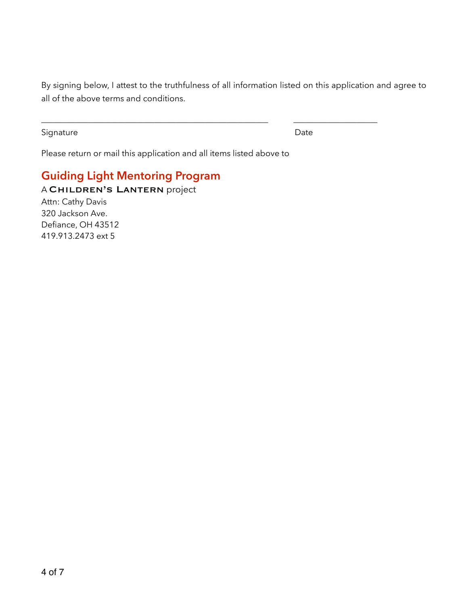By signing below, I attest to the truthfulness of all information listed on this application and agree to all of the above terms and conditions.

\_\_\_\_\_\_\_\_\_\_\_\_\_\_\_\_\_\_\_\_\_\_\_\_\_\_\_\_\_\_\_\_\_\_\_\_\_\_\_\_\_\_\_\_\_\_\_\_\_\_\_\_\_\_ \_\_\_\_\_\_\_\_\_\_\_\_\_\_\_\_\_\_\_\_

Signature Date Date

Please return or mail this application and all items listed above to

## **Guiding Light Mentoring Program**  A Children's Lantern project Attn: Cathy Davis 320 Jackson Ave. Defiance, OH 43512 419.913.2473 ext 5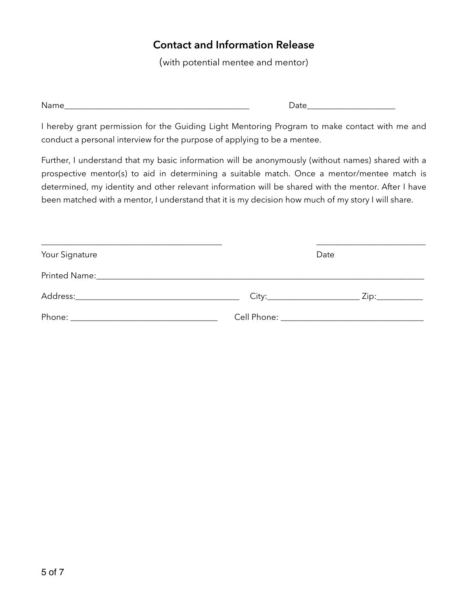## **Contact and Information Release**

(with potential mentee and mentor)

Name\_\_\_\_\_\_\_\_\_\_\_\_\_\_\_\_\_\_\_\_\_\_\_\_\_\_\_\_\_\_\_\_\_\_\_\_\_\_\_\_\_\_\_\_ Date\_\_\_\_\_\_\_\_\_\_\_\_\_\_\_\_\_\_\_\_\_

I hereby grant permission for the Guiding Light Mentoring Program to make contact with me and conduct a personal interview for the purpose of applying to be a mentee.

Further, I understand that my basic information will be anonymously (without names) shared with a prospective mentor(s) to aid in determining a suitable match. Once a mentor/mentee match is determined, my identity and other relevant information will be shared with the mentor. After I have been matched with a mentor, I understand that it is my decision how much of my story I will share.

| Your Signature | Date                                                                                                                                                                                                                                |  |                |  |
|----------------|-------------------------------------------------------------------------------------------------------------------------------------------------------------------------------------------------------------------------------------|--|----------------|--|
|                |                                                                                                                                                                                                                                     |  |                |  |
|                |                                                                                                                                                                                                                                     |  | Zip:__________ |  |
|                | <b>Cell Phone:</b> The Communication of the Communication of the Communication of the Communication of the Communication of the Communication of the Communication of the Communication of the Communication of the Communication o |  |                |  |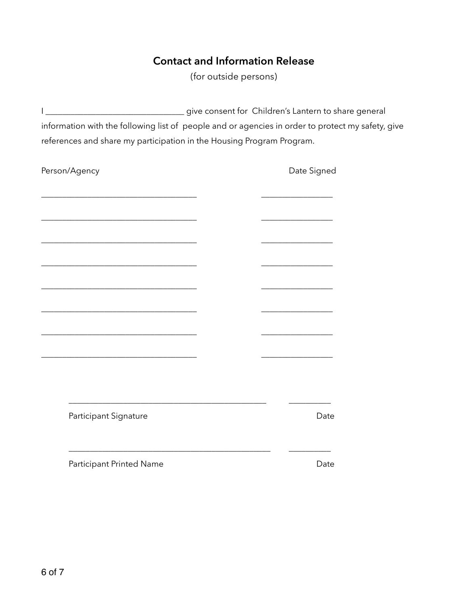## **Contact and Information Release**

(for outside persons)

I \_\_\_\_\_\_\_\_\_\_\_\_\_\_\_\_\_\_\_\_\_\_\_\_\_\_\_\_\_\_\_\_\_ give consent for Children's Lantern to share general information with the following list of people and or agencies in order to protect my safety, give references and share my participation in the Housing Program Program.

| Person/Agency            | Date Signed |
|--------------------------|-------------|
|                          |             |
|                          |             |
|                          |             |
|                          |             |
|                          |             |
|                          |             |
|                          |             |
|                          |             |
|                          |             |
|                          |             |
| Participant Signature    | Date        |
| Participant Printed Name | Date        |